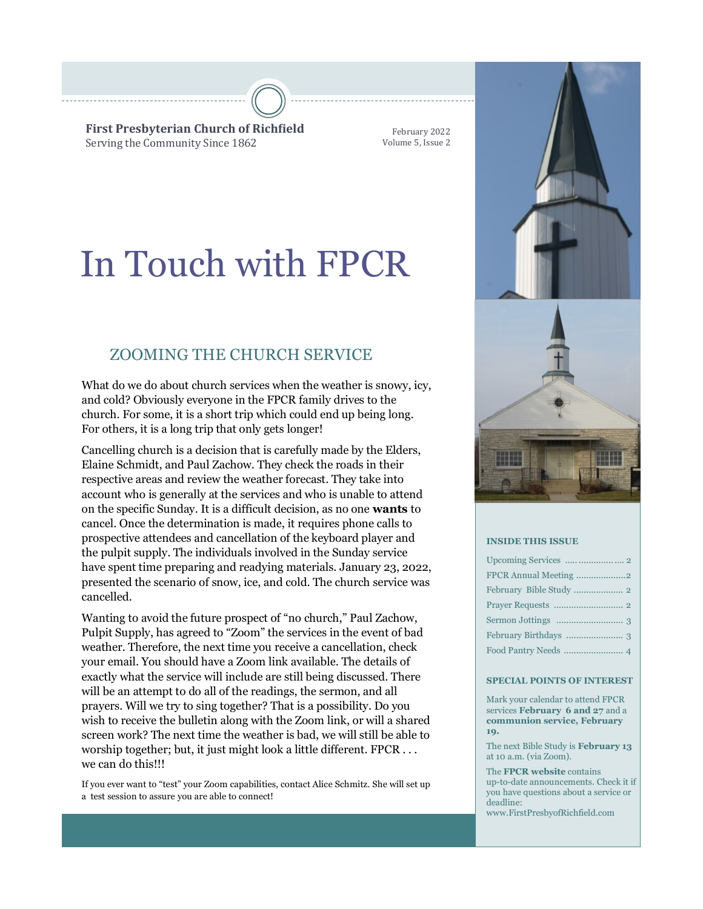**First Presbyterian Church of Richfield** Serving the Community Since 1862

February 2022 Volume 5, Issue 2

# In Touch with FPCR

## ZOOMING THE CHURCH SERVICE

What do we do about church services when the weather is snowy, icy, and cold? Obviously everyone in the FPCR family drives to the church. For some, it is a short trip which could end up being long. For others, it is a long trip that only gets longer!

Cancelling church is a decision that is carefully made by the Elders, Elaine Schmidt, and Paul Zachow. They check the roads in their respective areas and review the weather forecast. They take into account who is generally at the services and who is unable to attend on the specific Sunday. It is a difficult decision, as no one **wants** to cancel. Once the determination is made, it requires phone calls to prospective attendees and cancellation of the keyboard player and the pulpit supply. The individuals involved in the Sunday service have spent time preparing and readying materials. January 23, 2022, presented the scenario of snow, ice, and cold. The church service was cancelled.

Wanting to avoid the future prospect of "no church," Paul Zachow, Pulpit Supply, has agreed to "Zoom" the services in the event of bad weather. Therefore, the next time you receive a cancellation, check your email. You should have a Zoom link available. The details of exactly what the service will include are still being discussed. There will be an attempt to do all of the readings, the sermon, and all prayers. Will we try to sing together? That is a possibility. Do you wish to receive the bulletin along with the Zoom link, or will a shared screen work? The next time the weather is bad, we will still be able to worship together; but, it just might look a little different. FPCR . . . we can do this!!!

If you ever want to "test" your Zoom capabilities, contact Alice Schmitz. She will set up a test session to assure you are able to connect!



#### **INSIDE THIS ISSUE**

#### **SPECIAL POINTS OF INTEREST**

Mark your calendar to attend FPCR services **February 6 and 27** and a **communion service, February 19.**

The next Bible Study is **February 13** at 10 a.m. (via Zoom).

The **FPCR website** contains up-to-date announcements. Check it if you have questions about a service or deadline: www.FirstPresbyofRichfield.com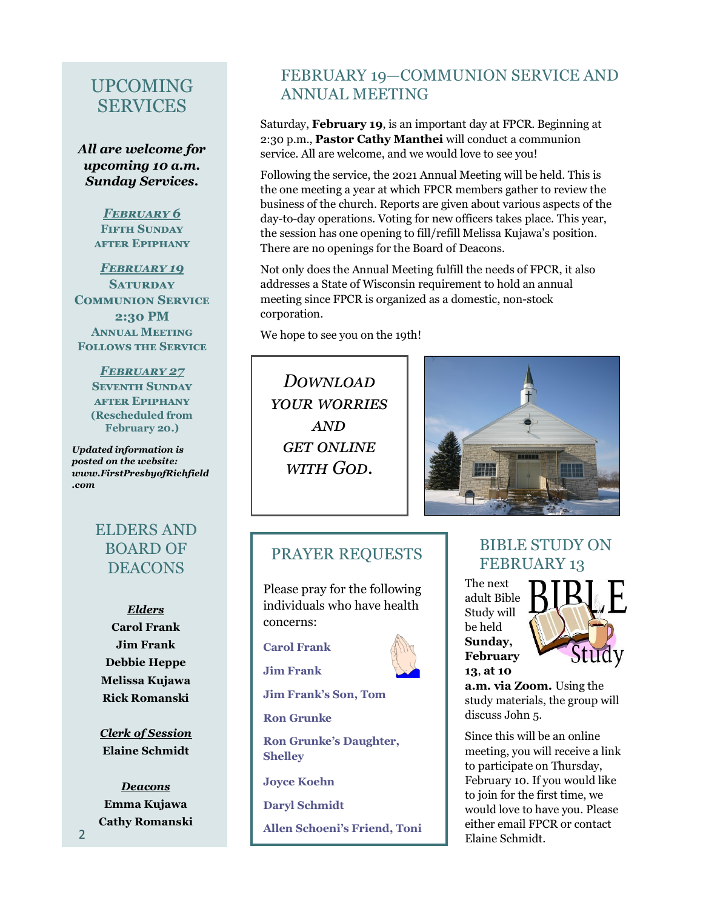## UPCOMING **SERVICES**

*All are welcome for upcoming 10 a.m. Sunday Services.*

> *February 6* **Fifth Sunday after Epiphany**

*February 19* **Saturday Communion Service 2:30 PM Annual Meeting Follows the Service**

> *February 27* **Seventh Sunday after Epiphany (Rescheduled from February 20.)**

*Updated information is posted on the website: www.FirstPresbyofRichfield .com*

# ELDERS AND BOARD OF DEACONS

*Elders* **Carol Frank Jim Frank Debbie Heppe Melissa Kujawa Rick Romanski**

*Clerk of Session* **Elaine Schmidt**

*Deacons* **Emma Kujawa Cathy Romanski**

## FEBRUARY 19—COMMUNION SERVICE AND ANNUAL MEETING

Saturday, **February 19**, is an important day at FPCR. Beginning at 2:30 p.m., **Pastor Cathy Manthei** will conduct a communion service. All are welcome, and we would love to see you!

Following the service, the 2021 Annual Meeting will be held. This is the one meeting a year at which FPCR members gather to review the business of the church. Reports are given about various aspects of the day-to-day operations. Voting for new officers takes place. This year, the session has one opening to fill/refill Melissa Kujawa's position. There are no openings for the Board of Deacons.

Not only does the Annual Meeting fulfill the needs of FPCR, it also addresses a State of Wisconsin requirement to hold an annual meeting since FPCR is organized as a domestic, non-stock corporation.

We hope to see you on the 19th!

*Download your worries and get online with God.*



## PRAYER REQUESTS

Please pray for the following individuals who have health concerns:

**Carol Frank**



BIBLE STUDY ON FEBRUARY 13

The next adult Bible Study will be held **Sunday, February 13**, **at 10** 



**a.m. via Zoom.** Using the study materials, the group will discuss John 5.

Since this will be an online meeting, you will receive a link to participate on Thursday, February 10. If you would like to join for the first time, we would love to have you. Please either email FPCR or contact Elaine Schmidt.



**Jim Frank**

**Jim Frank's Son, Tom**

**Ron Grunke**

**Ron Grunke's Daughter, Shelley**

**Joyce Koehn**

**Daryl Schmidt**

**Allen Schoeni's Friend, Toni**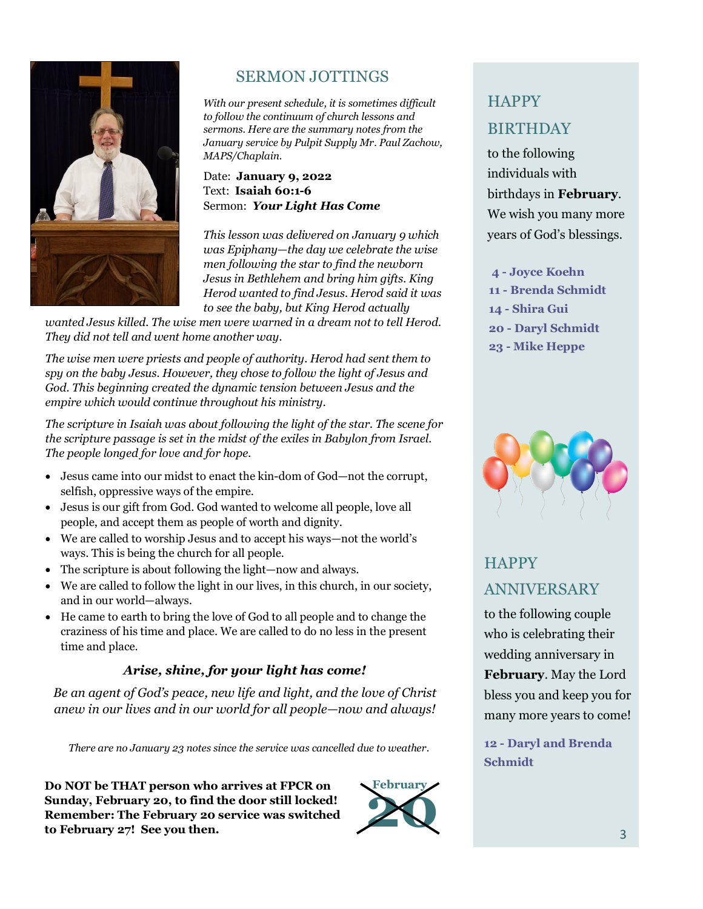

# SERMON JOTTINGS

*With our present schedule, it is sometimes difficult to follow the continuum of church lessons and sermons. Here are the summary notes from the January service by Pulpit Supply Mr. Paul Zachow, MAPS/Chaplain.* 

## Date: **January 9, 2022** Text: **Isaiah 60:1-6** Sermon: *Your Light Has Come*

*This lesson was delivered on January 9 which was Epiphany—the day we celebrate the wise men following the star to find the newborn Jesus in Bethlehem and bring him gifts. King Herod wanted to find Jesus. Herod said it was to see the baby, but King Herod actually* 

*wanted Jesus killed. The wise men were warned in a dream not to tell Herod. They did not tell and went home another way.* 

*The wise men were priests and people of authority. Herod had sent them to spy on the baby Jesus. However, they chose to follow the light of Jesus and God. This beginning created the dynamic tension between Jesus and the empire which would continue throughout his ministry.*

*The scripture in Isaiah was about following the light of the star. The scene for the scripture passage is set in the midst of the exiles in Babylon from Israel. The people longed for love and for hope.*

- Jesus came into our midst to enact the kin-dom of God—not the corrupt, selfish, oppressive ways of the empire.
- Jesus is our gift from God. God wanted to welcome all people, love all people, and accept them as people of worth and dignity.
- We are called to worship Jesus and to accept his ways—not the world's ways. This is being the church for all people.
- The scripture is about following the light—now and always.
- We are called to follow the light in our lives, in this church, in our society, and in our world—always.
- He came to earth to bring the love of God to all people and to change the craziness of his time and place. We are called to do no less in the present time and place.

## *Arise, shine, for your light has come!*

*Be an agent of God's peace, new life and light, and the love of Christ anew in our lives and in our world for all people—now and always!*

*There are no January 23 notes since the service was cancelled due to weather.*

**Do NOT be THAT person who arrives at FPCR on Sunday, February 20, to find the door still locked! Remember: The February 20 service was switched**  Do NOT be THAT person who arrives at FPCR on<br>Sunday, February 20, to find the door still locked!<br>Remember: The February 20 service was switched<br>to February 27! See you then.



# **HAPPY** BIRTHDAY

to the following individuals with birthdays in **February**. We wish you many more years of God's blessings.

**- Joyce Koehn - Brenda Schmidt - Shira Gui - Daryl Schmidt - Mike Heppe**



# **HAPPY** ANNIVERSARY

to the following couple who is celebrating their wedding anniversary in **February**. May the Lord bless you and keep you for many more years to come!

**12 - Daryl and Brenda Schmidt**